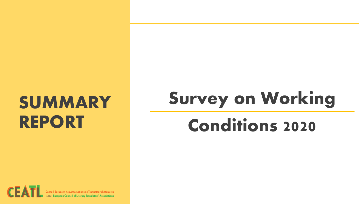### **SUMMARY REPORT**

# **Survey on Working**

### **Conditions 2020**

(SBL) European Council of Literary Translators' Associations

 $CE$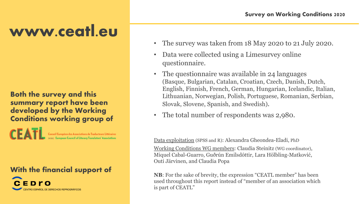### **www.ceatl.eu**

**Both the survey and this summary report have been developed by the Working Conditions working group of**

> Conseil Européen des Associations de Traducteurs Littéraires SBL) European Council of Literary Translators' Associations

**With the financial support of**



- The survey was taken from 18 May 2020 to 21 July 2020.
- Data were collected using a Limesurvey online questionnaire.
- The questionnaire was available in 24 languages (Basque, Bulgarian, Catalan, Croatian, Czech, Danish, Dutch, English, Finnish, French, German, Hungarian, Icelandic, Italian, Lithuanian, Norwegian, Polish, Portuguese, Romanian, Serbian, Slovak, Slovene, Spanish, and Swedish).
- The total number of respondents was 2,980.

Data exploitation (SPSS and R): Alexandra Gheondea-Eladi, PhD

Working Conditions WG members: Claudia Steinitz (WG coordinator), Miquel Cabal-Guarro, Guðrún Emilsdóttir, Lara Hölbling-Matković, Outi Järvinen, and Claudia Popa

**NB**: For the sake of brevity, the expression "CEATL member" has been used throughout this report instead of "member of an association which is part of CEATL"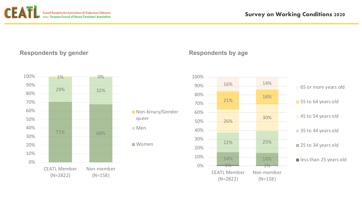

### **Respondents by gender Respondents by age**





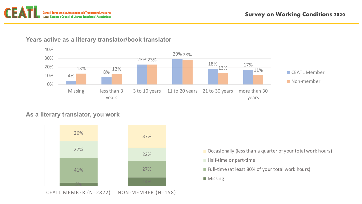



#### **Years active as a literary translator/book translator**

#### **As a literary translator, you work**



CEATL MEMBER (N=2822) NON-MEMBER (N=158)

- **Occasionally (less than a quarter of your total work hours)**
- **Half-time or part-time**
- Full-time (at least 80% of your total work hours)
- **Missing**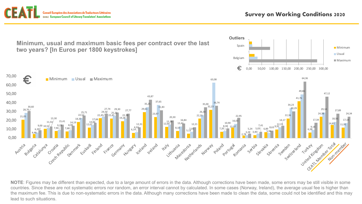Européen des Associations de Traducteurs Littéraires **(AISBL)** European Council of Literary Translators' Associations



**NOTE**: Figures may be different than expected, due to a large amount of errors in the data. Although corrections have been made, some errors may be still visible in some countries. Since these are not systematic errors nor random, an error interval cannot by calculated. In some cases (Norway, Ireland), the average usual fee is higher than the maximum fee. This is due to non-systematic errors in the data. Although many corrections have been made to clean the data, some could not be identified and this may lead to such situations.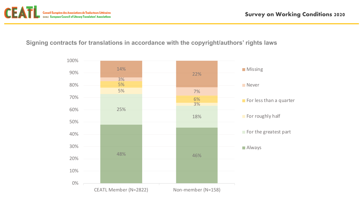

#### **Signing contracts for translations in accordance with the copyright/authors' rights laws**

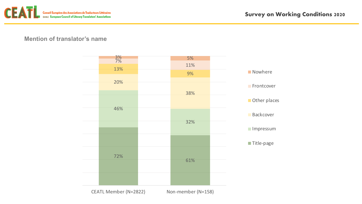

#### **Mention of translator's name**

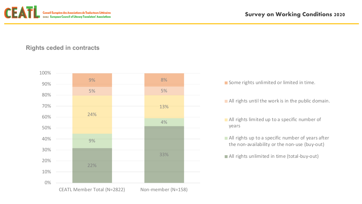

**Rights ceded in contracts**



Some rights unlimited or limited in time.

- All rights until the work is in the public domain.
- **All rights limited up to a specific number of** years
- All rights up to a specific number of years after the non-availability or the non-use (buy-out)
- All rights unlimited in time (total-buy-out)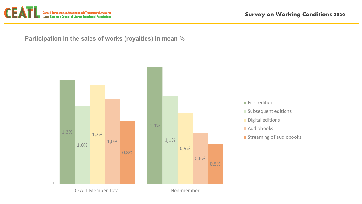

**Participation in the sales of works (royalties) in mean %**

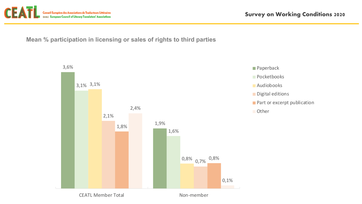

**Mean % participation in licensing or sales of rights to third parties**





CEATL Member Total Non-member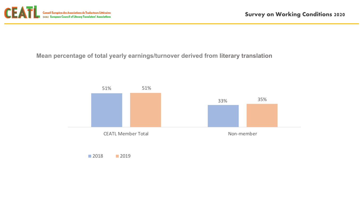

**Mean percentage of total yearly earnings/turnover derived from literary translation**

**2018** 2019

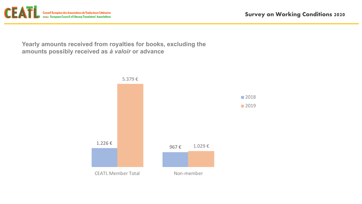

**Yearly amounts received from royalties for books, excluding the amounts possibly received as** *à valoir* **or advance**

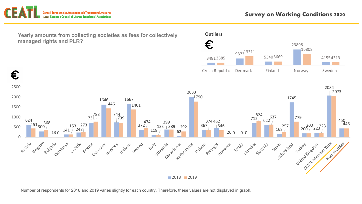



Number of respondents for 2018 and 2019 varies slightly for each country. Therefore, these values are not displayed in graph.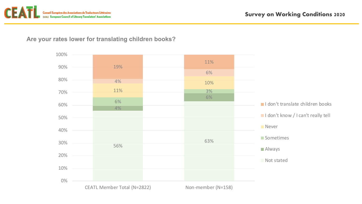

#### **Are your rates lower for translating children books?**